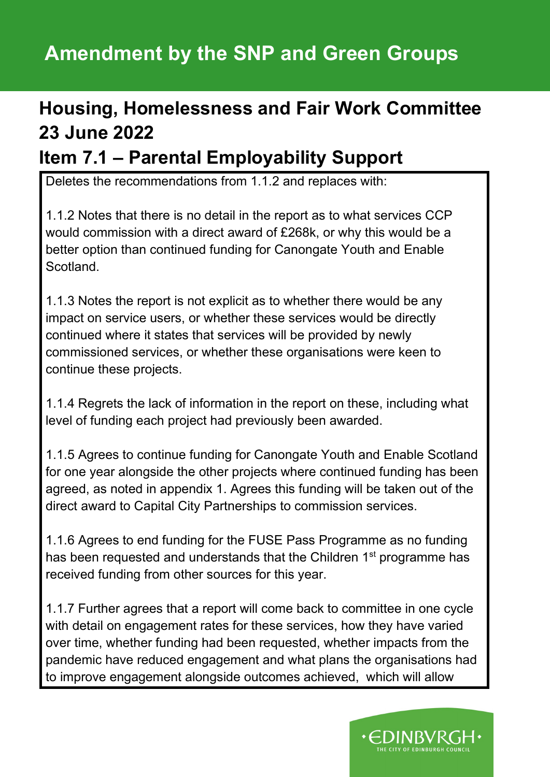# **Amendment by the SNP and Green Groups**

# **Housing, Homelessness and Fair Work Committee 23 June 2022**

### **Item 7.1 – Parental Employability Support**

Deletes the recommendations from 1.1.2 and replaces with:

1.1.2 Notes that there is no detail in the report as to what services CCP would commission with a direct award of £268k, or why this would be a better option than continued funding for Canongate Youth and Enable Scotland.

1.1.3 Notes the report is not explicit as to whether there would be any impact on service users, or whether these services would be directly continued where it states that services will be provided by newly commissioned services, or whether these organisations were keen to continue these projects.

1.1.4 Regrets the lack of information in the report on these, including what level of funding each project had previously been awarded.

1.1.5 Agrees to continue funding for Canongate Youth and Enable Scotland for one year alongside the other projects where continued funding has been agreed, as noted in appendix 1. Agrees this funding will be taken out of the direct award to Capital City Partnerships to commission services.

1.1.6 Agrees to end funding for the FUSE Pass Programme as no funding has been requested and understands that the Children 1<sup>st</sup> programme has received funding from other sources for this year.

1.1.7 Further agrees that a report will come back to committee in one cycle with detail on engagement rates for these services, how they have varied over time, whether funding had been requested, whether impacts from the pandemic have reduced engagement and what plans the organisations had to improve engagement alongside outcomes achieved, which will allow

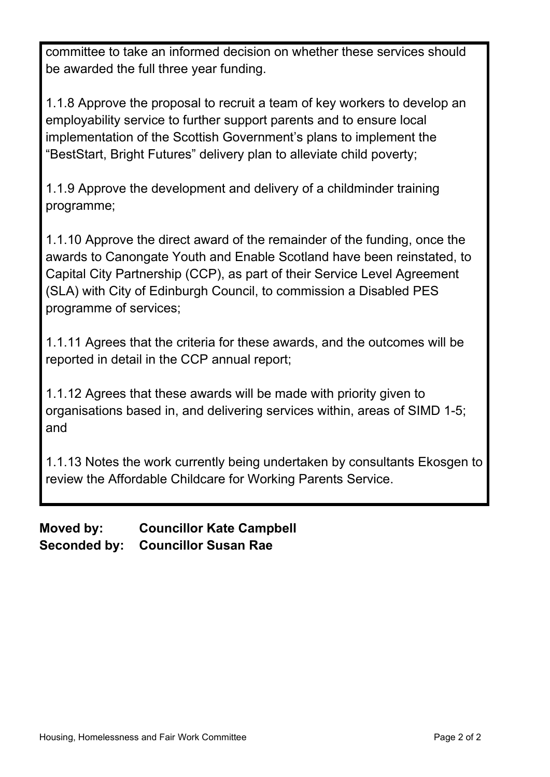committee to take an informed decision on whether these services should be awarded the full three year funding.

1.1.8 Approve the proposal to recruit a team of key workers to develop an employability service to further support parents and to ensure local implementation of the Scottish Government's plans to implement the "BestStart, Bright Futures" delivery plan to alleviate child poverty;

1.1.9 Approve the development and delivery of a childminder training programme;

1.1.10 Approve the direct award of the remainder of the funding, once the awards to Canongate Youth and Enable Scotland have been reinstated, to Capital City Partnership (CCP), as part of their Service Level Agreement (SLA) with City of Edinburgh Council, to commission a Disabled PES programme of services;

1.1.11 Agrees that the criteria for these awards, and the outcomes will be reported in detail in the CCP annual report;

1.1.12 Agrees that these awards will be made with priority given to organisations based in, and delivering services within, areas of SIMD 1-5; and

1.1.13 Notes the work currently being undertaken by consultants Ekosgen to review the Affordable Childcare for Working Parents Service.

**Moved by: Councillor Kate Campbell Seconded by: Councillor Susan Rae**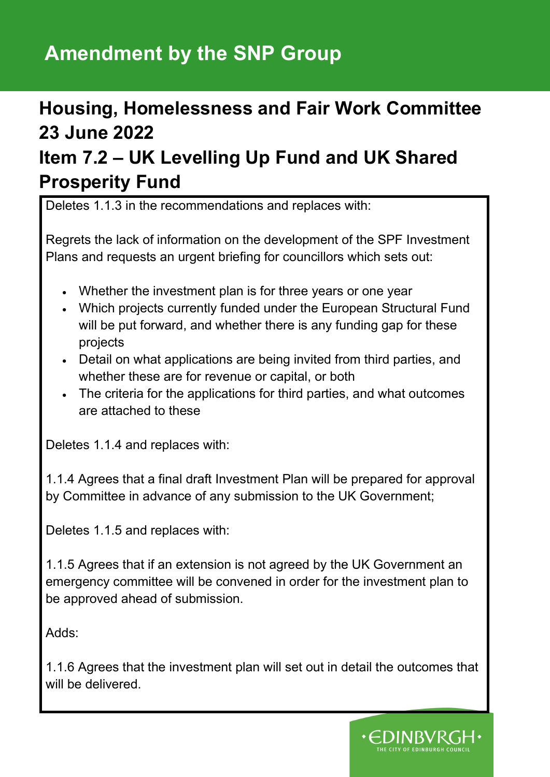# **Amendment by the SNP Group**

## **Housing, Homelessness and Fair Work Committee 23 June 2022**

### **Item 7.2 – UK Levelling Up Fund and UK Shared Prosperity Fund**

Deletes 1.1.3 in the recommendations and replaces with:

Regrets the lack of information on the development of the SPF Investment Plans and requests an urgent briefing for councillors which sets out:

- Whether the investment plan is for three years or one year
- Which projects currently funded under the European Structural Fund will be put forward, and whether there is any funding gap for these projects
- Detail on what applications are being invited from third parties, and whether these are for revenue or capital, or both
- The criteria for the applications for third parties, and what outcomes are attached to these

Deletes 1.1.4 and replaces with:

1.1.4 Agrees that a final draft Investment Plan will be prepared for approval by Committee in advance of any submission to the UK Government;

Deletes 1.1.5 and replaces with:

1.1.5 Agrees that if an extension is not agreed by the UK Government an emergency committee will be convened in order for the investment plan to be approved ahead of submission.

Adds:

1.1.6 Agrees that the investment plan will set out in detail the outcomes that will be delivered.

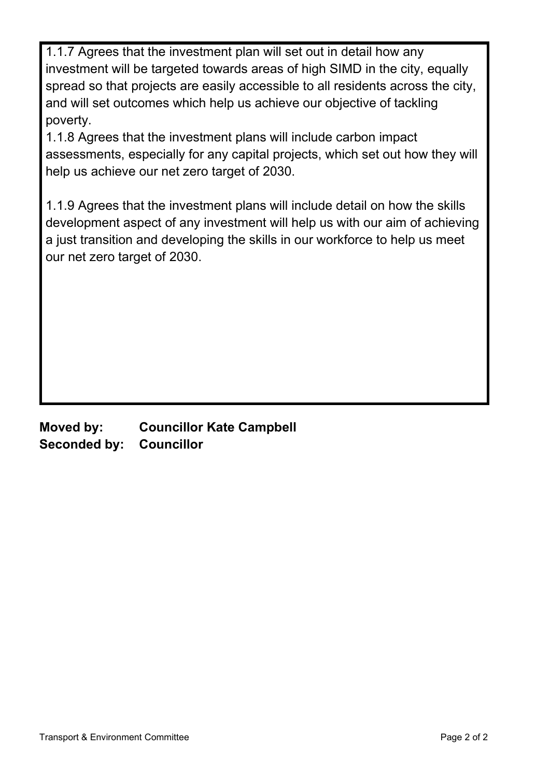1.1.7 Agrees that the investment plan will set out in detail how any investment will be targeted towards areas of high SIMD in the city, equally spread so that projects are easily accessible to all residents across the city, and will set outcomes which help us achieve our objective of tackling poverty.

1.1.8 Agrees that the investment plans will include carbon impact assessments, especially for any capital projects, which set out how they will help us achieve our net zero target of 2030.

1.1.9 Agrees that the investment plans will include detail on how the skills development aspect of any investment will help us with our aim of achieving a just transition and developing the skills in our workforce to help us meet our net zero target of 2030.

**Moved by: Councillor Kate Campbell Seconded by: Councillor**